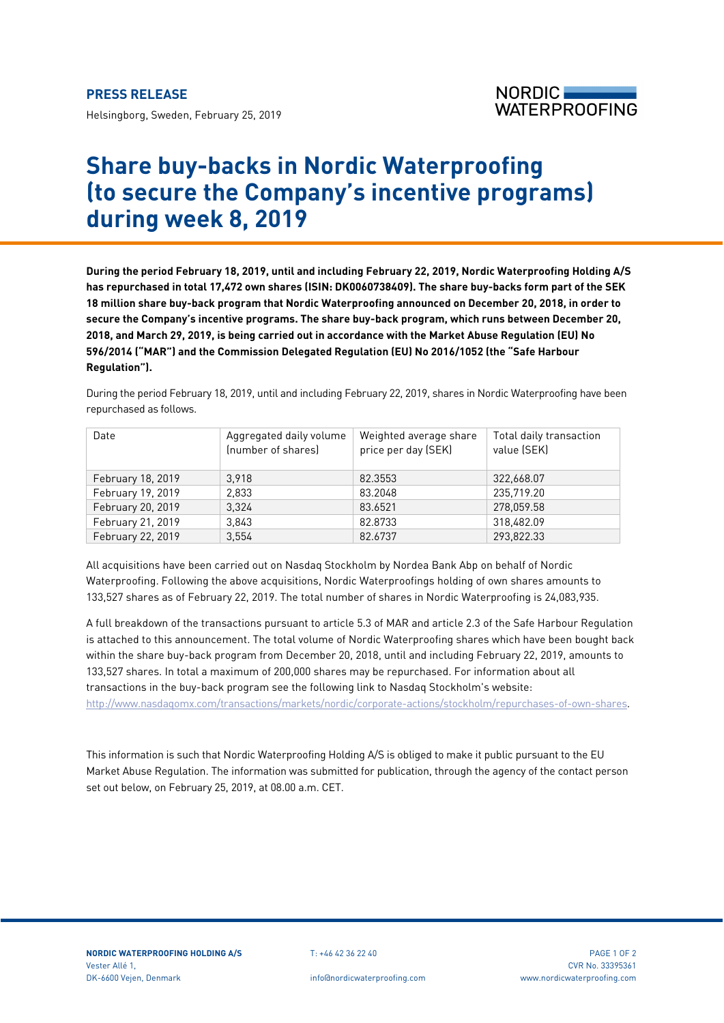Helsingborg, Sweden, February 25, 2019



## **Share buy-backs in Nordic Waterproofing (to secure the Company's incentive programs) during week 8, 2019**

**During the period February 18, 2019, until and including February 22, 2019, Nordic Waterproofing Holding A/S has repurchased in total 17,472 own shares (ISIN: DK0060738409). The share buy-backs form part of the SEK 18 million share buy-back program that Nordic Waterproofing announced on December 20, 2018, in order to secure the Company's incentive programs. The share buy-back program, which runs between December 20, 2018, and March 29, 2019, is being carried out in accordance with the Market Abuse Regulation (EU) No 596/2014 ("MAR") and the Commission Delegated Regulation (EU) No 2016/1052 (the "Safe Harbour Regulation").**

During the period February 18, 2019, until and including February 22, 2019, shares in Nordic Waterproofing have been repurchased as follows.

| Date              | Aggregated daily volume<br>(number of shares) | Weighted average share<br>price per day (SEK) | Total daily transaction<br>value (SEK) |
|-------------------|-----------------------------------------------|-----------------------------------------------|----------------------------------------|
| February 18, 2019 | 3.918                                         | 82.3553                                       | 322,668.07                             |
| February 19, 2019 | 2.833                                         | 83.2048                                       | 235,719.20                             |
| February 20, 2019 | 3.324                                         | 83.6521                                       | 278,059.58                             |
| February 21, 2019 | 3.843                                         | 82.8733                                       | 318.482.09                             |
| February 22, 2019 | 3.554                                         | 82.6737                                       | 293.822.33                             |

All acquisitions have been carried out on Nasdaq Stockholm by Nordea Bank Abp on behalf of Nordic Waterproofing. Following the above acquisitions, Nordic Waterproofings holding of own shares amounts to 133,527 shares as of February 22, 2019. The total number of shares in Nordic Waterproofing is 24,083,935.

A full breakdown of the transactions pursuant to article 5.3 of MAR and article 2.3 of the Safe Harbour Regulation is attached to this announcement. The total volume of Nordic Waterproofing shares which have been bought back within the share buy-back program from December 20, 2018, until and including February 22, 2019, amounts to 133,527 shares. In total a maximum of 200,000 shares may be repurchased. For information about all transactions in the buy-back program see the following link to Nasdaq Stockholm's website: [http://www.nasdaqomx.com/transactions/markets/nordic/corporate-actions/stockholm/repurchases-of-own-shares.](http://www.nasdaqomx.com/transactions/markets/nordic/corporate-actions/stockholm/repurchases-of-own-shares)

This information is such that Nordic Waterproofing Holding A/S is obliged to make it public pursuant to the EU Market Abuse Regulation. The information was submitted for publication, through the agency of the contact person set out below, on February 25, 2019, at 08.00 a.m. CET.